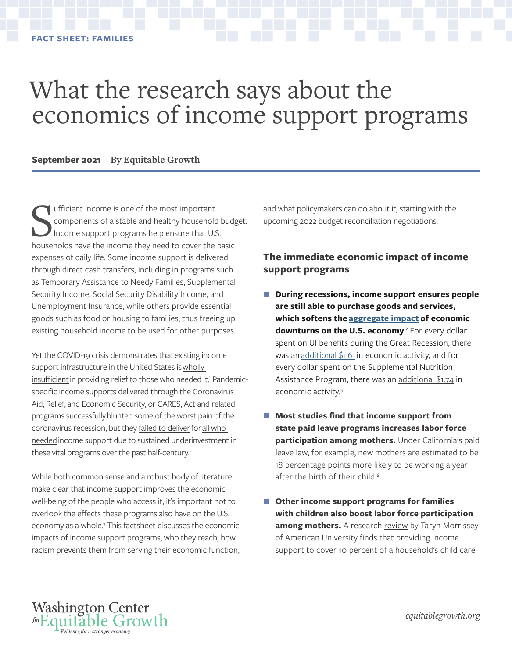# <span id="page-0-0"></span>What the research says about the economics of income support programs

#### **September 2021 By Equitable Growth**

Ifficient income is one of the most important<br>
components of a stable and healthy household budg<br>
Income support programs help ensure that U.S.<br>
households have the income they need to cover the basic ufficient income is one of the most important components of a stable and healthy household budget. Income support programs help ensure that U.S. expenses of daily life. Some income support is delivered through direct cash transfers, including in programs such as Temporary Assistance to Needy Families, Supplemental Security Income, Social Security Disability Income, and Unemployment Insurance, while others provide essential goods such as food or housing to families, thus freeing up existing household income to be used for other purposes.

Yet the COVID-19 crisis demonstrates that existing income support infrastructure in the United States is wholly [insufficient](https://equitablegrowth.org/the-only-thing-better-than-strengthening-federal-social-supports-now-to-prevent-a-coronavirus-recession-is-strengthening-them-forever/) in providing relief to those who needed it.<sup>1</sup> Pandemicspecific income supports delivered through the Coronavirus Aid, Relief, and Economic Security, or CARES, Act and related programs [successfully](https://www.povertycenter.columbia.edu/news-internal/2020/covid-projecting-monthly-poverty) blunted some of the worst pain of the coronavirus recession, but they [failed to deliver](https://equitablegrowth.org/broken-plumbing-how-systems-for-delivering-economic-relief-in-response-to-the-coronavirus-recession-failed-the-u-s-economy/) for all who [needed](https://www.bloomberg.com/news/features/2021-06-25/u-s-unemployment-at-least-9-million-americans-didn-t-receive-any-benefits) income support due to sustained underinvestment in these vital programs over the past half-century.<sup>2</sup>

While both common sense and a [robust body of literature](https://www.cbpp.org/research/various-supports-for-low-income-families-reduce-poverty-and-have-long-term-positive) make clear that income support improves the economic well-being of the people who access it, it's important not to overlook the effects these programs also have on the U.S. economy as a whole.<sup>3</sup> This factsheet discusses the economic impacts of income support programs, who they reach, how racism prevents them from serving their economic function,

Washington Center forEquitable Growth Evidence for a stronger econ

and what policymakers can do about it, starting with the upcoming 2022 budget reconciliation negotiations.

#### **The immediate economic impact of income support programs**

- During recessions, income support ensures people **are still able to purchase goods and services, which softens the [aggregate impact](https://www.hamiltonproject.org/assets/files/CRC_web_20190506.pdf) of economic**  downturns on the U.S. economy.<sup>[4](#page-3-0)</sup> For every dollar spent on UI benefits during the Great Recession, there was an additional  $$1.61$  in economic activity, and for every dollar spent on the Supplemental Nutrition Assistance Program, there was an [additional \\$1.74](https://www.hamiltonproject.org/assets/files/HoynesSchanzenbach_web_20190506.pdf) in economic activity[.5](#page-3-0)
- Most studies find that income support from **state paid leave programs increases labor force participation among mothers.** Under California's paid leave law, for example, new mothers are estimated to be [18 percentage points](https://onlinelibrary.wiley.com/doi/abs/10.1002/pam.21894) more likely to be working a year after the birth of their child.<sup>6</sup>
- **Other income support programs for families with children also boost labor force participation**  among mothers. A research [review](https://link.springer.com/article/10.1007/s11150-016-9331-3) by Taryn Morrissey of American University finds that providing income support to cover 10 percent of a household's child care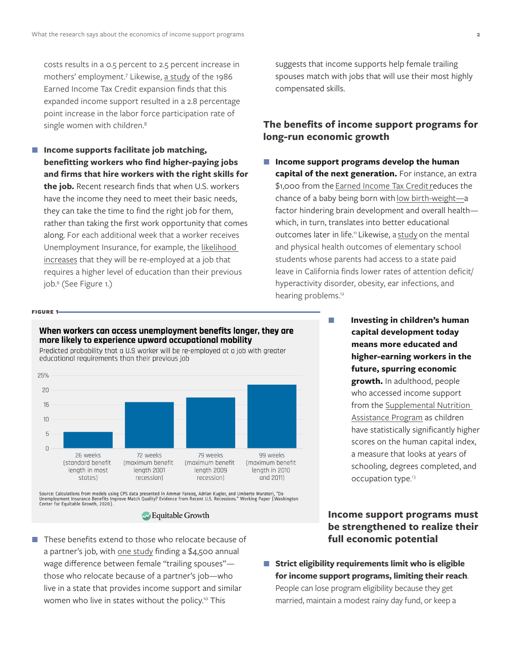<span id="page-1-0"></span>costs results in a 0.5 percent to 2.5 percent increase in mothers' employment.<sup>7</sup> Likewise, [a study](https://www.jstor.org/stable/2946689) of the 1986 Earned Income Tax Credit expansion finds that this expanded income support resulted in a 2.8 percentage point increase in the labor force participation rate of single women with children.<sup>[8](#page-3-0)</sup>

■ Income supports facilitate job matching, **benefitting workers who find higher-paying jobs and firms that hire workers with the right skills for the job.** Recent research finds that when U.S. workers have the income they need to meet their basic needs, they can take the time to find the right job for them, rather than taking the first work opportunity that comes along. For each additional week that a worker receives Unemployment Insurance, for example, the likelihood [increases](https://equitablegrowth.org/the-long-run-implications-of-extending-unemployment-benefits-in-the-united-states-for-workers-firms-and-the-economy/) that they will be re-employed at a job that requires a higher level of education than their previous job.[9](#page-3-0) (See Figure 1.)

**Figure 1**

suggests that income supports help female trailing spouses match with jobs that will use their most highly compensated skills.

#### **The benefits of income support programs for long-run economic growth**

- Income support programs develop the human **capital of the next generation.** For instance, an extra \$1,000 from the [Earned Income Tax Credit](https://equitablegrowth.org/the-earned-income-tax-credit/) reduces the chance of a baby being born with [low birth-weight](https://www.aeaweb.org/articles?id=10.1257/pol.20120179)—a factor hindering brain development and overall health which, in turn, translates into better educational outcomes later in life.<sup>11</sup> Likewise, a [study](https://onlinelibrary.wiley.com/doi/abs/10.1002/pam.22012) on the mental and physical health outcomes of elementary school students whose parents had access to a state paid leave in California finds lower rates of attention deficit/ hyperactivity disorder, obesity, ear infections, and hearing problems.<sup>[12](#page-4-0)</sup>
	- **Investing in children's human capital development today means more educated and higher-earning workers in the future, spurring economic growth.** In adulthood, people who accessed income support from the [Supplemental Nutrition](https://equitablegrowth.org/new-working-paper-shows-long-term-u-s-economic-and-health-benefits-of-the-supplemental-nutrition-assistance-program/)  [Assistance Program](https://equitablegrowth.org/new-working-paper-shows-long-term-u-s-economic-and-health-benefits-of-the-supplemental-nutrition-assistance-program/) as children have statistically significantly higher scores on the human capital index, a measure that looks at years of schooling, degrees completed, and occupation type.<sup>[13](#page-4-0)</sup>

#### **Income support programs must be strengthened to realize their full economic potential**

■ Strict eligibility requirements limit who is eligible **for income support programs, limiting their reach**. People can lose program eligibility because they get married, maintain a modest rainy day fund, or keep a

#### When workers can access unemployment benefits longer, they are more likely to experience upward occupational mobility

Predicted probability that a U.S worker will be re-employed at a job with greater educational requirements than their previous job



Source: Calculations from models using CPS data presented in Ammar Farooq, Adrian Kugler, and Umberto Muratori, "Do<br>Unemployment Insurance Benefits Improve Match Quality? Evidence from Recent U.S. Recessions." Working Pape

#### Equitable Growth

■ These benefits extend to those who relocate because of a partner's job, with [one study](https://equitablegrowth.org/moving-with-two-careers-is-hard-but-unemployment-insurance-for-trailing-spouses-can-help/) finding a \$4,500 annual wage difference between female "trailing spouses" those who relocate because of a partner's job—who live in a state that provides income support and similar women who live in states without the policy.<sup>10</sup> This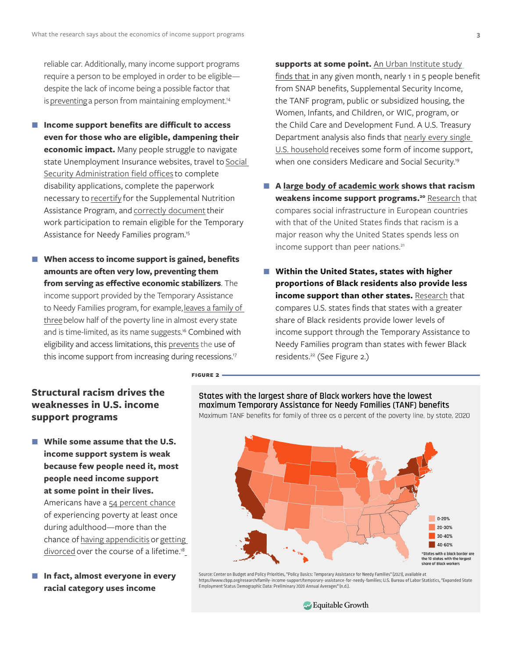<span id="page-2-0"></span>reliable car. Additionally, many income support programs require a person to be employed in order to be eligible despite the lack of income being a possible factor that is [preventing](https://static1.squarespace.com/static/6039d612b17d055cac14070f/t/6050294a1212aa40fdaf773a/1615866187890/SEED_Preliminary+Analysis-SEEDs+First+Year_Final+Report_Individual+Pages+.pdf) a person from maintaining employment.<sup>14</sup>

- Income support benefits are difficult to access **even for those who are eligible, dampening their economic impact.** Many people struggle to navigate state Unemployment Insurance websites, travel to [Social](https://www.nber.org/programs-projects/projects-and-centers/retirement-and-disability-research-center/center-papers/drc-nb16-15)  [Security Administration field offices](https://www.nber.org/programs-projects/projects-and-centers/retirement-and-disability-research-center/center-papers/drc-nb16-15) to complete disability applications, complete the paperwork necessary to [recertify](https://doi-org.proxy.lib.umich.edu/10.1016/j.jpubeco.2019.104054) for the Supplemental Nutrition Assistance Program, and [correctly document](https://www.mathematica.org/our-publications-and-findings/publications/improving-program-engagement-of-tanf-families-understanding-participation-and-those-with-reported) their work participation to remain eligible for the Temporary Assistance for Needy Families program.<sup>15</sup>
- When access to income support is gained, benefits **amounts are often very low, preventing them from serving as effective economic stabilizers**. The income support provided by the Temporary Assistance to Needy Families program, for example, [leaves a family of](https://www.cbpp.org/research/family-income-support/temporary-assistance-for-needy-families)  [three](https://www.cbpp.org/research/family-income-support/temporary-assistance-for-needy-families) below half of the poverty line in almost every state and is time-limited, as its name suggests. [16](#page-4-0) Combined with eligibility and access limitations, this [prevents](https://www.nber.org/papers/w19449) the use of this income support from increasing during recessions.<sup>17</sup>

**Figure 2**

supports at some point. An [Urban Institute study](https://www.urban.org/sites/default/files/publication/99674/five_things_you_may_not_know_about_the_us_social_safety_net_1.pdf) finds that in any given month, nearly 1 in 5 people benefit from SNAP benefits, Supplemental Security Income, the TANF program, public or subsidized housing, the Women, Infants, and Children, or WIC, program, or the Child Care and Development Fund. A U.S. Treasury Department analysis also finds that [nearly every single](https://www.treasury.gov/resource-center/economic-policy/Documents/The%20Economic%20Security%20of%20American%20Households-%20the%20Safety%20Net.pdf)  [U.S. household](https://www.treasury.gov/resource-center/economic-policy/Documents/The%20Economic%20Security%20of%20American%20Households-%20the%20Safety%20Net.pdf) receives some form of income support, when one considers Medicare and Social Security.<sup>19</sup>

- A [large body of academic work](https://www.clasp.org/blog/racism-public-benefit-programs-where-do-we-go-here) shows that racism **weakens income support programs.[20](#page-4-0)** [Research](https://scholar.harvard.edu/files/glaeser/files/why_doesnt_the_u.s._have_a_european-style_welfare_state.pdf) that compares social infrastructure in European countries with that of the United States finds that racism is a major reason why the United States spends less on income support than peer nations.<sup>21</sup>
- Within the United States, states with higher **proportions of Black residents also provide less income support than other states.** [Research](https://equitablegrowth.org/weak-income-support-infrastructure-harms-u-s-workers-and-their-families-and-constrains-economic-growth/) that compares U.S. states finds that states with a greater share of Black residents provide lower levels of income support through the Temporary Assistance to Needy Families program than states with fewer Black residents.[22](#page-4-0) (See Figure 2.)

### **Structural racism drives the weaknesses in U.S. income support programs**

- **While some assume that the U.S. income support system is weak because few people need it, most people need income support at some point in their lives.** Americans have a [54 percent chance](https://onlinelibrary.wiley.com/doi/epdf/10.1002/pam.1026) of experiencing poverty at least once during adulthood—more than the chance of [having appendicitis](https://www.nytimes.com/2004/11/16/health/a-superfluous-organ-can-still-cause-trouble.html) or [getting](https://www.census.gov/prod/2011pubs/p70-125.pdf)  [divorced](https://www.census.gov/prod/2011pubs/p70-125.pdf) over the course of a lifetime.<sup>18</sup>
- **In fact, almost everyone in every racial category uses income**

States with the largest share of Black workers have the lowest maximum Temporary Assistance for Needy Families (TANF) benefits Maximum TANF benefits for family of three as a percent of the poverty line, by state, 2020



Source: Center on Budget and Policy Priorities, "Policy Basics: Temporary Assistance for Needy Families" (2021), available at Suries://www.cbpp.org/research/family-income-support/temporary-assistance-for-needy-families; U.S. Bureau of Labor Statistics, "Expanded State<br>Employment Status Demographic Data: Preliminary 2020 Annual Averages" (n.d.).

Growth Equitable Growth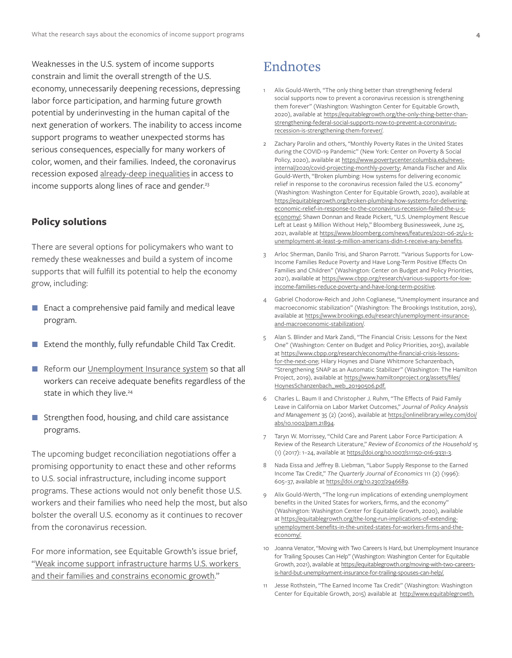<span id="page-3-0"></span>Weaknesses in the U.S. system of income supports constrain and limit the overall strength of the U.S. economy, unnecessarily deepening recessions, depressing labor force participation, and harming future growth potential by underinvesting in the human capital of the next generation of workers. The inability to access income support programs to weather unexpected storms has serious consequences, especially for many workers of color, women, and their families. Indeed, the coronavirus recession exposed [already-deep inequalities](https://timesupfoundation.org/work/times-up-impact-lab/times-up-measure-up/foundations-for-a-just-and-inclusive-recovery/) in access to income supports along lines of race and gender.<sup>[23](#page-4-0)</sup>

#### **Policy solutions**

There are several options for policymakers who want to remedy these weaknesses and build a system of income supports that will fulfill its potential to help the economy grow, including:

- **Enact a comprehensive paid family and medical leave** program.
- Extend the monthly, fully refundable Child Tax Credit.
- Reform our [Unemployment Insurance system](https://www.epi.org/publication/unemployment-insurance-reform/) so that all workers can receive adequate benefits regardless of the state in which they live.<sup>24</sup>
- Strengthen food, housing, and child care assistance programs.

The upcoming budget reconciliation negotiations offer a promising opportunity to enact these and other reforms to U.S. social infrastructure, including income support programs. These actions would not only benefit those U.S. workers and their families who need help the most, but also bolster the overall U.S. economy as it continues to recover from the coronavirus recession.

For more information, see Equitable Growth's issue brief, ["Weak income support infrastructure harms U.S. workers](https://equitablegrowth.org/weak-income-support-infrastructure-harms-u-s-workers-and-their-families-and-constrains-economic-growth/)  [and their families and constrains economic growth](https://equitablegrowth.org/weak-income-support-infrastructure-harms-u-s-workers-and-their-families-and-constrains-economic-growth/)."

## Endnotes

- [1](#page-0-0) Alix Gould-Werth, "The only thing better than strengthening federal social supports now to prevent a coronavirus recession is strengthening them forever" (Washington: Washington Center for Equitable Growth, 2020), available at [https://equitablegrowth.org/the-only-thing-better-than](https://equitablegrowth.org/the-only-thing-better-than-strengthening-federal-social-supports-now-to-prevent-a-coronavirus-recession-is-strengthening-them-forever/)[strengthening-federal-social-supports-now-to-prevent-a-coronavirus](https://equitablegrowth.org/the-only-thing-better-than-strengthening-federal-social-supports-now-to-prevent-a-coronavirus-recession-is-strengthening-them-forever/)[recession-is-strengthening-them-forever/.](https://equitablegrowth.org/the-only-thing-better-than-strengthening-federal-social-supports-now-to-prevent-a-coronavirus-recession-is-strengthening-them-forever/)
- [2](#page-0-0) Zachary Parolin and others, "Monthly Poverty Rates in the United States during the COVID-19 Pandemic" (New York: Center on Poverty & Social Policy, 2020), available at [https://www.povertycenter.columbia.edu/news](https://www.povertycenter.columbia.edu/news-internal/2020/covid-projecting-monthly-poverty)[internal/2020/covid-projecting-monthly-poverty](https://www.povertycenter.columbia.edu/news-internal/2020/covid-projecting-monthly-poverty); Amanda Fischer and Alix Gould-Werth, "Broken plumbing: How systems for delivering economic relief in response to the coronavirus recession failed the U.S. economy" (Washington: Washington Center for Equitable Growth, 2020), available at [https://equitablegrowth.org/broken-plumbing-how-systems-for-delivering](https://equitablegrowth.org/broken-plumbing-how-systems-for-delivering-economic-relief-in-response-to-the-coronavirus-recession-failed-the-u-s-economy/)[economic-relief-in-response-to-the-coronavirus-recession-failed-the-u-s](https://equitablegrowth.org/broken-plumbing-how-systems-for-delivering-economic-relief-in-response-to-the-coronavirus-recession-failed-the-u-s-economy/)[economy/;](https://equitablegrowth.org/broken-plumbing-how-systems-for-delivering-economic-relief-in-response-to-the-coronavirus-recession-failed-the-u-s-economy/) Shawn Donnan and Reade Pickert, "U.S. Unemployment Rescue Left at Least 9 Million Without Help," Bloomberg Businessweek, June 25, 2021, available at [https://www.bloomberg.com/news/features/2021-06-25/u-s](https://www.bloomberg.com/news/features/2021-06-25/u-s-unemployment-at-least-9-million-americans-didn-t-receive-any-benefits)[unemployment-at-least-9-million-americans-didn-t-receive-any-benefits](https://www.bloomberg.com/news/features/2021-06-25/u-s-unemployment-at-least-9-million-americans-didn-t-receive-any-benefits).
- [3](#page-0-0) Arloc Sherman, Danilo Trisi, and Sharon Parrott. "Various Supports for Low-Income Families Reduce Poverty and Have Long-Term Positive Effects On Families and Children" (Washington: Center on Budget and Policy Priorities, 2021), available at [https://www.cbpp.org/research/various-supports-for-low](https://www.cbpp.org/research/various-supports-for-low-income-families-reduce-poverty-and-have-long-term-positive)[income-families-reduce-poverty-and-have-long-term-positive](https://www.cbpp.org/research/various-supports-for-low-income-families-reduce-poverty-and-have-long-term-positive).
- [4](#page-0-0) Gabriel Chodorow-Reich and John Coglianese, "Unemployment insurance and macroeconomic stabilization" (Washington: The Brookings Institution, 2019), available at [https://www.brookings.edu/research/unemployment-insurance](https://www.brookings.edu/research/unemployment-insurance-and-macroeconomic-stabilization/)[and-macroeconomic-stabilization/.](https://www.brookings.edu/research/unemployment-insurance-and-macroeconomic-stabilization/)
- [5](#page-0-0) Alan S. Blinder and Mark Zandi, "The Financial Crisis: Lessons for the Next One" (Washington: Center on Budget and Policy Priorities, 2015), available at [https://www.cbpp.org/research/economy/the-financial-crisis-lessons](https://www.cbpp.org/research/economy/the-financial-crisis-lessons-for-the-next-one)[for-the-next-one;](https://www.cbpp.org/research/economy/the-financial-crisis-lessons-for-the-next-one) Hilary Hoynes and Diane Whitmore Schanzenbach, "Strengthening SNAP as an Automatic Stabilizer" (Washington: The Hamilton Project, 2019), available at [https://www.hamiltonproject.org/assets/files/](https://www.hamiltonproject.org/assets/files/HoynesSchanzenbach_web_20190506.pdf) [HoynesSchanzenbach\\_web\\_20190506.pdf](https://www.hamiltonproject.org/assets/files/HoynesSchanzenbach_web_20190506.pdf).
- [6](#page-0-0) Charles L. Baum II and Christopher J. Ruhm, "The Effects of Paid Family Leave in California on Labor Market Outcomes," *Journal of Policy Analysis and Management* 35 (2) (2016), available at [https://onlinelibrary.wiley.com/doi/](https://onlinelibrary.wiley.com/doi/abs/10.1002/pam.21894) [abs/10.1002/pam.21894.](https://onlinelibrary.wiley.com/doi/abs/10.1002/pam.21894)
- [7](#page-1-0) Taryn W. Morrissey, "Child Care and Parent Labor Force Participation: A Review of the Research Literature," *Review of Economics of the Household* 15 (1) (2017): 1–24, available at<https://doi.org/10.1007/s11150-016-9331-3>.
- Nada Eissa and Jeffrey B. Liebman, "Labor Supply Response to the Earned Income Tax Credit," *The Quarterly Journal of Economics* 111 (2) (1996): 605–37, available at <https://doi.org/10.2307/2946689>.
- [9](#page-1-0) Alix Gould-Werth, "The long-run implications of extending unemployment benefits in the United States for workers, firms, and the economy" (Washington: Washington Center for Equitable Growth, 2020), available at [https://equitablegrowth.org/the-long-run-implications-of-extending](https://equitablegrowth.org/the-long-run-implications-of-extending-unemployment-benefits-in-the-united-states-for-workers-firms-and-the-economy/)[unemployment-benefits-in-the-united-states-for-workers-firms-and-the](https://equitablegrowth.org/the-long-run-implications-of-extending-unemployment-benefits-in-the-united-states-for-workers-firms-and-the-economy/)[economy/.](https://equitablegrowth.org/the-long-run-implications-of-extending-unemployment-benefits-in-the-united-states-for-workers-firms-and-the-economy/)
- [10](#page-1-0) Joanna Venator, "Moving with Two Careers Is Hard, but Unemployment Insurance for Trailing Spouses Can Help" (Washington: Washington Center for Equitable Growth, 2021), available at [https://equitablegrowth.org/moving-with-two-careers](https://equitablegrowth.org/moving-with-two-careers-is-hard-but-unemployment-insurance-for-trailing-spouses-can-help/)[is-hard-but-unemployment-insurance-for-trailing-spouses-can-help/](https://equitablegrowth.org/moving-with-two-careers-is-hard-but-unemployment-insurance-for-trailing-spouses-can-help/).
- [11](#page-1-0) Jesse Rothstein, "The Earned Income Tax Credit" (Washington: Washington Center for Equitable Growth, 2015) available at [http://www.equitablegrowth.](http://www.equitablegrowth.org/the-earned-income-tax-credit/)